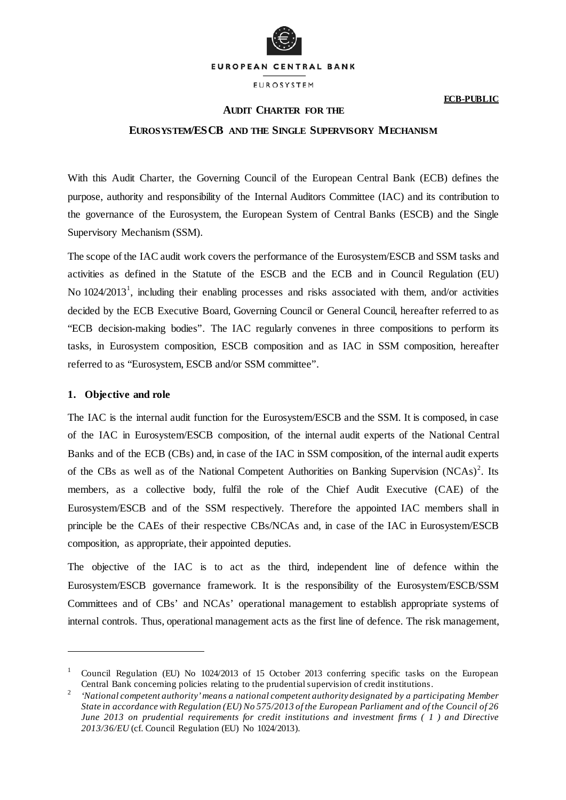

EUROSYSTEM

## **ECB-PUBLIC**

# **AUDIT CHARTER FOR THE**

# **EUROSYSTEM/ESCB AND THE SINGLE SUPERVISORY MECHANISM**

With this Audit Charter, the Governing Council of the European Central Bank (ECB) defines the purpose, authority and responsibility of the Internal Auditors Committee (IAC) and its contribution to the governance of the Eurosystem, the European System of Central Banks (ESCB) and the Single Supervisory Mechanism (SSM).

The scope of the IAC audit work covers the performance of the Eurosystem/ESCB and SSM tasks and activities as defined in the Statute of the ESCB and the ECB and in Council Regulation (EU) No [1](#page-0-0)024/2013<sup>1</sup>, including their enabling processes and risks associated with them, and/or activities decided by the ECB Executive Board, Governing Council or General Council, hereafter referred to as "ECB decision-making bodies". The IAC regularly convenes in three compositions to perform its tasks, in Eurosystem composition, ESCB composition and as IAC in SSM composition, hereafter referred to as "Eurosystem, ESCB and/or SSM committee".

#### **1. Objective and role**

-

The IAC is the internal audit function for the Eurosystem/ESCB and the SSM. It is composed, in case of the IAC in Eurosystem/ESCB composition, of the internal audit experts of the National Central Banks and of the ECB (CBs) and, in case of the IAC in SSM composition, of the internal audit experts of the CBs as well as of the National Competent Authorities on Banking Supervision (NCAs)<sup>[2](#page-0-1)</sup>. Its members, as a collective body, fulfil the role of the Chief Audit Executive (CAE) of the Eurosystem/ESCB and of the SSM respectively. Therefore the appointed IAC members shall in principle be the CAEs of their respective CBs/NCAs and, in case of the IAC in Eurosystem/ESCB composition, as appropriate, their appointed deputies.

The objective of the IAC is to act as the third, independent line of defence within the Eurosystem/ESCB governance framework. It is the responsibility of the Eurosystem/ESCB/SSM Committees and of CBs' and NCAs' operational management to establish appropriate systems of internal controls. Thus, operational management acts as the first line of defence. The risk management,

<span id="page-0-0"></span><sup>&</sup>lt;sup>1</sup> Council Regulation (EU) No 1024/2013 of 15 October 2013 conferring specific tasks on the European Central Bank concerning policies relating to the prudential supervision of credit institutions.

<span id="page-0-1"></span><sup>2</sup> *'National competent authority' means a national competent authority designated by a participating Member State in accordance with Regulation (EU) No 575/2013 of the European Parliament and of the Council of 26 June 2013 on prudential requirements for credit institutions and investment firms ( 1 ) and Directive 2013/36/EU* (cf. Council Regulation (EU) No 1024/2013).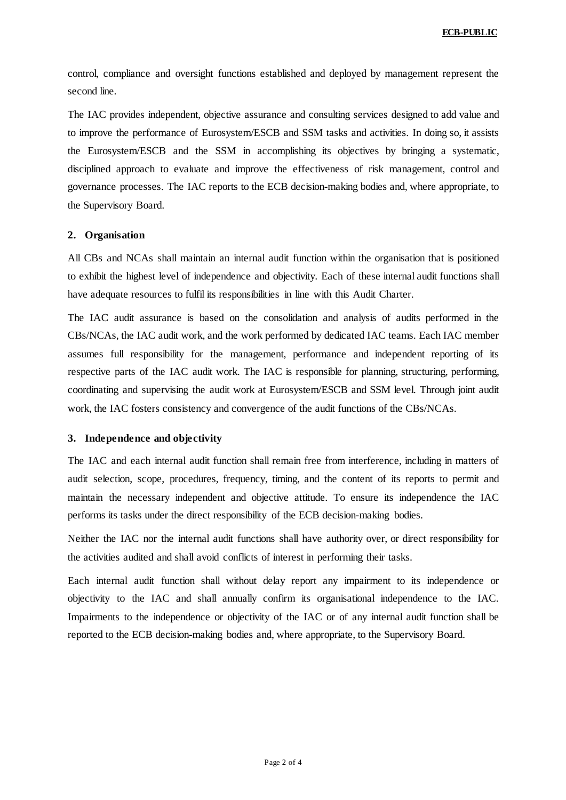control, compliance and oversight functions established and deployed by management represent the second line.

The IAC provides independent, objective assurance and consulting services designed to add value and to improve the performance of Eurosystem/ESCB and SSM tasks and activities. In doing so, it assists the Eurosystem/ESCB and the SSM in accomplishing its objectives by bringing a systematic, disciplined approach to evaluate and improve the effectiveness of risk management, control and governance processes. The IAC reports to the ECB decision-making bodies and, where appropriate, to the Supervisory Board.

## **2. Organisation**

All CBs and NCAs shall maintain an internal audit function within the organisation that is positioned to exhibit the highest level of independence and objectivity. Each of these internal audit functions shall have adequate resources to fulfil its responsibilities in line with this Audit Charter.

The IAC audit assurance is based on the consolidation and analysis of audits performed in the CBs/NCAs, the IAC audit work, and the work performed by dedicated IAC teams. Each IAC member assumes full responsibility for the management, performance and independent reporting of its respective parts of the IAC audit work. The IAC is responsible for planning, structuring, performing, coordinating and supervising the audit work at Eurosystem/ESCB and SSM level. Through joint audit work, the IAC fosters consistency and convergence of the audit functions of the CBs/NCAs.

#### **3. Independence and objectivity**

The IAC and each internal audit function shall remain free from interference, including in matters of audit selection, scope, procedures, frequency, timing, and the content of its reports to permit and maintain the necessary independent and objective attitude. To ensure its independence the IAC performs its tasks under the direct responsibility of the ECB decision-making bodies.

Neither the IAC nor the internal audit functions shall have authority over, or direct responsibility for the activities audited and shall avoid conflicts of interest in performing their tasks.

Each internal audit function shall without delay report any impairment to its independence or objectivity to the IAC and shall annually confirm its organisational independence to the IAC. Impairments to the independence or objectivity of the IAC or of any internal audit function shall be reported to the ECB decision-making bodies and, where appropriate, to the Supervisory Board.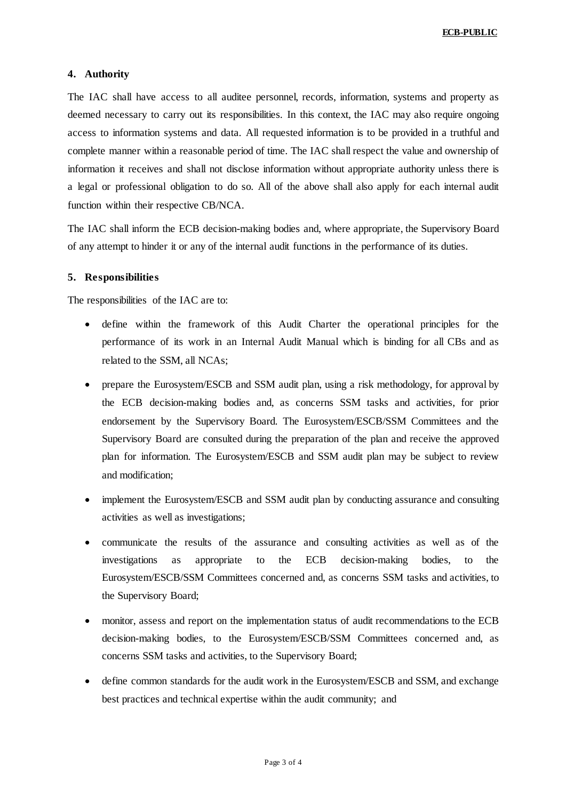## **4. Authority**

The IAC shall have access to all auditee personnel, records, information, systems and property as deemed necessary to carry out its responsibilities. In this context, the IAC may also require ongoing access to information systems and data. All requested information is to be provided in a truthful and complete manner within a reasonable period of time. The IAC shall respect the value and ownership of information it receives and shall not disclose information without appropriate authority unless there is a legal or professional obligation to do so. All of the above shall also apply for each internal audit function within their respective CB/NCA.

The IAC shall inform the ECB decision-making bodies and, where appropriate, the Supervisory Board of any attempt to hinder it or any of the internal audit functions in the performance of its duties.

#### **5. Responsibilities**

The responsibilities of the IAC are to:

- define within the framework of this Audit Charter the operational principles for the performance of its work in an Internal Audit Manual which is binding for all CBs and as related to the SSM, all NCAs;
- prepare the Eurosystem/ESCB and SSM audit plan, using a risk methodology, for approval by the ECB decision-making bodies and, as concerns SSM tasks and activities, for prior endorsement by the Supervisory Board. The Eurosystem/ESCB/SSM Committees and the Supervisory Board are consulted during the preparation of the plan and receive the approved plan for information. The Eurosystem/ESCB and SSM audit plan may be subject to review and modification;
- implement the Eurosystem/ESCB and SSM audit plan by conducting assurance and consulting activities as well as investigations;
- communicate the results of the assurance and consulting activities as well as of the investigations as appropriate to the ECB decision-making bodies, to the Eurosystem/ESCB/SSM Committees concerned and, as concerns SSM tasks and activities, to the Supervisory Board;
- monitor, assess and report on the implementation status of audit recommendations to the ECB decision-making bodies, to the Eurosystem/ESCB/SSM Committees concerned and, as concerns SSM tasks and activities, to the Supervisory Board;
- define common standards for the audit work in the Eurosystem/ESCB and SSM, and exchange best practices and technical expertise within the audit community; and